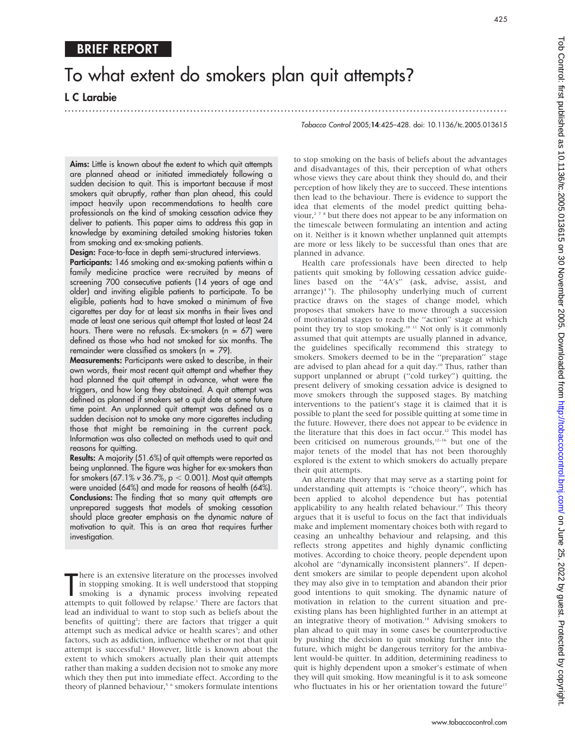# To what extent do smokers plan quit attempts?

...............................................................................................................................

L C Larabie

Tobacco Control 2005;14:425–428. doi: 10.1136/tc.2005.013615

Aims: Little is known about the extent to which quit attempts are planned ahead or initiated immediately following a sudden decision to quit. This is important because if most smokers quit abruptly, rather than plan ahead, this could impact heavily upon recommendations to health care professionals on the kind of smoking cessation advice they deliver to patients. This paper aims to address this gap in knowledge by examining detailed smoking histories taken from smoking and ex-smoking patients.

Design: Face-to-face in depth semi-structured interviews.

Participants: 146 smoking and ex-smoking patients within a family medicine practice were recruited by means of screening 700 consecutive patients (14 years of age and older) and inviting eligible patients to participate. To be eligible, patients had to have smoked a minimum of five cigarettes per day for at least six months in their lives and made at least one serious quit attempt that lasted at least 24 hours. There were no refusals. Ex-smokers ( $n = 67$ ) were defined as those who had not smoked for six months. The remainder were classified as smokers (n = 79).

Measurements: Participants were asked to describe, in their own words, their most recent quit attempt and whether they had planned the quit attempt in advance, what were the triggers, and how long they abstained. A quit attempt was defined as planned if smokers set a quit date at some future time point. An unplanned quit attempt was defined as a sudden decision not to smoke any more cigarettes including those that might be remaining in the current pack. Information was also collected on methods used to quit and reasons for quitting.

Results: A majority (51.6%) of quit attempts were reported as being unplanned. The figure was higher for ex-smokers than for smokers (67.1% v 36.7%,  $p < 0.001$ ). Most quit attempts were unaided (64%) and made for reasons of health (64%). Conclusions: The finding that so many quit attempts are unprepared suggests that models of smoking cessation should place greater emphasis on the dynamic nature of motivation to quit. This is an area that requires further investigation.

There is an extensive literature on the processes involved<br>in stopping smoking. It is well understood that stopping<br>smoking is a dynamic process involving repeated<br>attempts to quit followed by relapse.<sup>1</sup> There are factors here is an extensive literature on the processes involved in stopping smoking. It is well understood that stopping smoking is a dynamic process involving repeated lead an individual to want to stop such as beliefs about the benefits of quitting<sup>2</sup>; there are factors that trigger a quit attempt such as medical advice or health scares<sup>3</sup>; and other factors, such as addiction, influence whether or not that quit attempt is successful.<sup>4</sup> However, little is known about the extent to which smokers actually plan their quit attempts rather than making a sudden decision not to smoke any more which they then put into immediate effect. According to the theory of planned behaviour,<sup>5</sup> 6</sup> smokers formulate intentions

to stop smoking on the basis of beliefs about the advantages and disadvantages of this, their perception of what others whose views they care about think they should do, and their perception of how likely they are to succeed. These intentions then lead to the behaviour. There is evidence to support the idea that elements of the model predict quitting behaviour,<sup> $278$ </sup> but there does not appear to be any information on the timescale between formulating an intention and acting on it. Neither is it known whether unplanned quit attempts are more or less likely to be successful than ones that are planned in advance.

Health care professionals have been directed to help patients quit smoking by following cessation advice guidelines based on the ''4A's'' (ask, advise, assist, and arrange) $4^9$ ). The philosophy underlying much of current practice draws on the stages of change model, which proposes that smokers have to move through a succession of motivational stages to reach the ''action'' stage at which point they try to stop smoking.10 11 Not only is it commonly assumed that quit attempts are usually planned in advance, the guidelines specifically recommend this strategy to smokers. Smokers deemed to be in the ''preparation'' stage are advised to plan ahead for a quit day.<sup>10</sup> Thus, rather than support unplanned or abrupt (''cold turkey'') quitting, the present delivery of smoking cessation advice is designed to move smokers through the supposed stages. By matching interventions to the patient's stage it is claimed that it is possible to plant the seed for possible quitting at some time in the future. However, there does not appear to be evidence in the literature that this does in fact occur.<sup>12</sup> This model has been criticised on numerous grounds,<sup>12-16</sup> but one of the major tenets of the model that has not been thoroughly explored is the extent to which smokers do actually prepare their quit attempts.

An alternate theory that may serve as a starting point for understanding quit attempts is ''choice theory'', which has been applied to alcohol dependence but has potential applicability to any health related behaviour.<sup>17</sup> This theory argues that it is useful to focus on the fact that individuals make and implement momentary choices both with regard to ceasing an unhealthy behaviour and relapsing, and this reflects strong appetites and highly dynamic conflicting motives. According to choice theory, people dependent upon alcohol are ''dynamically inconsistent planners''. If dependent smokers are similar to people dependent upon alcohol they may also give in to temptation and abandon their prior good intentions to quit smoking. The dynamic nature of motivation in relation to the current situation and preexisting plans has been highlighted further in an attempt at an integrative theory of motivation.<sup>18</sup> Advising smokers to plan ahead to quit may in some cases be counterproductive by pushing the decision to quit smoking further into the future, which might be dangerous territory for the ambivalent would-be quitter. In addition, determining readiness to quit is highly dependent upon a smoker's estimate of when they will quit smoking. How meaningful is it to ask someone who fluctuates in his or her orientation toward the future<sup>17</sup>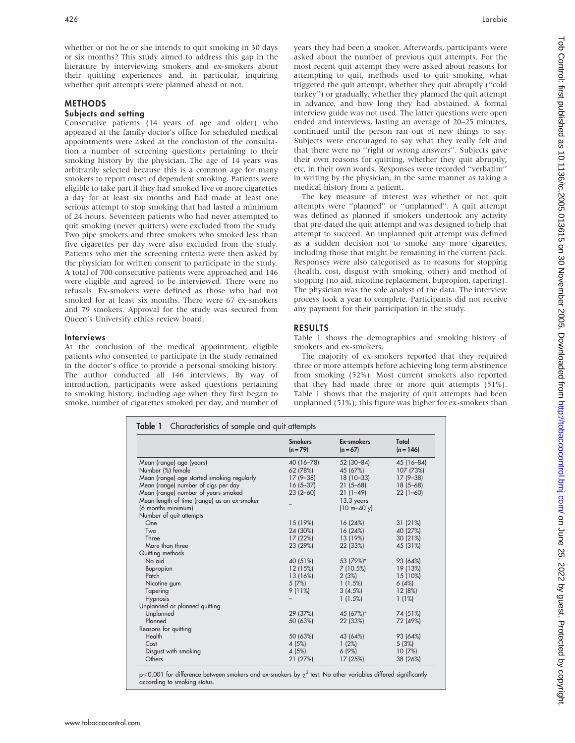whether or not he or she intends to quit smoking in 30 days or six months? This study aimed to address this gap in the literature by interviewing smokers and ex-smokers about their quitting experiences and, in particular, inquiring whether quit attempts were planned ahead or not.

## METHODS

## Subjects and setting

Consecutive patients (14 years of age and older) who appeared at the family doctor's office for scheduled medical appointments were asked at the conclusion of the consultation a number of screening questions pertaining to their smoking history by the physician. The age of 14 years was arbitrarily selected because this is a common age for many smokers to report onset of dependent smoking. Patients were eligible to take part if they had smoked five or more cigarettes a day for at least six months and had made at least one serious attempt to stop smoking that had lasted a minimum of 24 hours. Seventeen patients who had never attempted to quit smoking (never quitters) were excluded from the study. Two pipe smokers and three smokers who smoked less than five cigarettes per day were also excluded from the study. Patients who met the screening criteria were then asked by the physician for written consent to participate in the study. A total of 700 consecutive patients were approached and 146 were eligible and agreed to be interviewed. There were no refusals. Ex-smokers were defined as those who had not smoked for at least six months. There were 67 ex-smokers and 79 smokers. Approval for the study was secured from Queen's University ethics review board.

#### Interviews

At the conclusion of the medical appointment, eligible patients who consented to participate in the study remained in the doctor's office to provide a personal smoking history. The author conducted all 146 interviews. By way of introduction, participants were asked questions pertaining to smoking history, including age when they first began to smoke, number of cigarettes smoked per day, and number of years they had been a smoker. Afterwards, participants were asked about the number of previous quit attempts. For the most recent quit attempt they were asked about reasons for attempting to quit, methods used to quit smoking, what triggered the quit attempt, whether they quit abruptly (''cold turkey'') or gradually, whether they planned the quit attempt in advance, and how long they had abstained. A formal interview guide was not used. The latter questions were open ended and interviews, lasting an average of 20–25 minutes, continued until the person ran out of new things to say. Subjects were encouraged to say what they really felt and that there were no ''right or wrong answers''. Subjects gave their own reasons for quitting, whether they quit abruptly, etc, in their own words. Responses were recorded ''verbatim'' in writing by the physician, in the same manner as taking a medical history from a patient.

The key measure of interest was whether or not quit attempts were ''planned'' or ''unplanned''. A quit attempt was defined as planned if smokers undertook any activity that pre-dated the quit attempt and was designed to help that attempt to succeed. An unplanned quit attempt was defined as a sudden decision not to smoke any more cigarettes, including those that might be remaining in the current pack. Responses were also categorised as to reasons for stopping (health, cost, disgust with smoking, other) and method of stopping (no aid, nicotine replacement, bupropion, tapering). The physician was the sole analyst of the data. The interview process took a year to complete. Participants did not receive any payment for their participation in the study.

## RESULTS

Table 1 shows the demographics and smoking history of smokers and ex-smokers.

The majority of ex-smokers reported that they required three or more attempts before achieving long term abstinence from smoking (52%). Most current smokers also reported that they had made three or more quit attempts (51%). Table 1 shows that the majority of quit attempts had been unplanned (51%); this figure was higher for ex-smokers than

|                                             | <b>Smokers</b><br>$(n = 79)$ | Ex-smokers<br>$(n = 67)$ | Total<br>$(n = 146)$ |
|---------------------------------------------|------------------------------|--------------------------|----------------------|
| Mean (range) age (years)                    | 40 (16-78)                   | 52 (30-84)               | 45 (16-84)           |
| Number (%) female                           | 62 (78%)                     | 45 (67%)                 | 107 (73%)            |
| Mean (range) age started smoking regularly  | $17(9-38)$                   | $18(10-33)$              | $17(9-38)$           |
| Mean (range) number of cigs per day         | $16(5-37)$                   | $21(5-68)$               | $18(5 - 68)$         |
| Mean (range) number of years smoked         | $23(2-60)$                   | $21(1-49)$               | $22(1-60)$           |
| Mean length of time (range) as an ex-smoker |                              | 13.3 years               |                      |
| (6 months minimum)                          |                              | $(10 m-40 y)$            |                      |
| Number of quit attempts                     |                              |                          |                      |
| One                                         | 15 (19%)                     | 16(24%)                  | 31 (21%)             |
| Two                                         | 24 (30%)                     | 16(24%)                  | 40 (27%)             |
| Three                                       | 17 (22%)                     | 13 (19%)                 | 30 (21%)             |
| More than three                             | 23 (29%)                     | 22 (33%)                 | 45 (31%)             |
| Quitting methods                            |                              |                          |                      |
| No aid                                      | 40 (51%)                     | 53 (79%)*                | 93 (64%)             |
| Bupropion                                   | 12 (15%)                     | 7(10.5%)                 | 19 (13%)             |
| Patch                                       | 13 (16%)                     | 2(3%)                    | 15 (10%)             |
| Nicotine gum                                | 5(7%)                        | 1(1.5%)                  | 6(4%)                |
| Tapering                                    | $9(11\%)$                    | 3(4.5%)                  | 12 (8%)              |
| <b>Hypnosis</b>                             |                              | 1(1.5%)                  | 1(1%)                |
| Unplanned or planned quitting               |                              |                          |                      |
| Unplanned                                   | 29 (37%)                     | 45 (67%)*                | 74 (51%)             |
| Planned                                     | 50 (63%)                     | 22 (33%)                 | 72 (49%)             |
| Reasons for quitting                        |                              |                          |                      |
| Health                                      | 50 (63%)                     | 43 (64%)                 | 93 (64%)             |
| Cost                                        | 4 (5%)                       | 1(2%)                    | 5(3%)                |
| Disgust with smoking                        | 4(5%)                        | 6(9%)                    | 10(7%)               |
| Others                                      | 21(27%)                      | 17(25%)                  | 38 (26%)             |

smokers and ex-smokers by  $\chi^{\texttt{c}}$  test. No other variables differed significantly according to smoking status.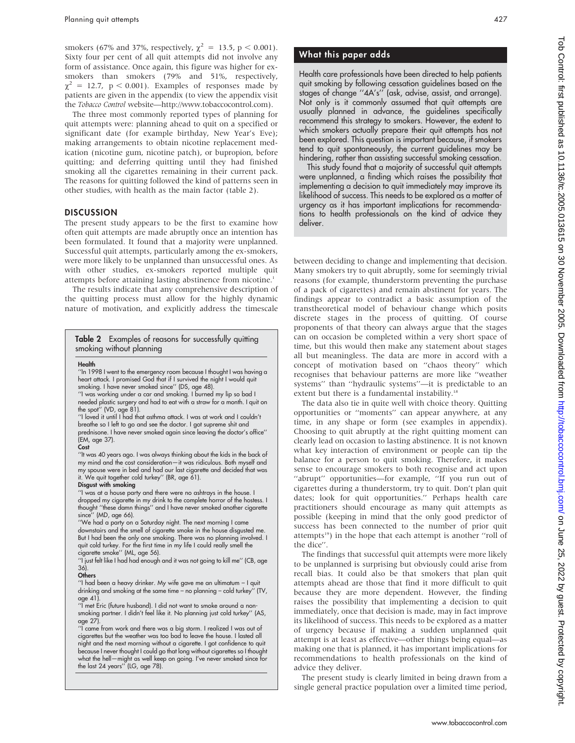smokers (67% and 37%, respectively,  $\chi^2 = 13.5$ , p < 0.001). Sixty four per cent of all quit attempts did not involve any form of assistance. Once again, this figure was higher for exsmokers than smokers (79% and 51%, respectively,  $\chi^2$  = 12.7, p < 0.001). Examples of responses made by patients are given in the appendix (to view the appendix visit the Tobacco Control website—http://www.tobaccocontrol.com).

The three most commonly reported types of planning for quit attempts were: planning ahead to quit on a specified or significant date (for example birthday, New Year's Eve); making arrangements to obtain nicotine replacement medication (nicotine gum, nicotine patch), or bupropion, before quitting; and deferring quitting until they had finished smoking all the cigarettes remaining in their current pack. The reasons for quitting followed the kind of patterns seen in other studies, with health as the main factor (table 2).

## **DISCUSSION**

The present study appears to be the first to examine how often quit attempts are made abruptly once an intention has been formulated. It found that a majority were unplanned. Successful quit attempts, particularly among the ex-smokers, were more likely to be unplanned than unsuccessful ones. As with other studies, ex-smokers reported multiple quit attempts before attaining lasting abstinence from nicotine.<sup>1</sup>

The results indicate that any comprehensive description of the quitting process must allow for the highly dynamic nature of motivation, and explicitly address the timescale

# Table 2 Examples of reasons for successfully quitting smoking without planning

#### Health

''In 1998 I went to the emergency room because I thought I was having a heart attack. I promised God that if I survived the night I would quit smoking. I have never smoked since'' (DS, age 48).

''I was working under a car and smoking. I burned my lip so bad I needed plastic surgery and had to eat with a straw for a month. I quit on the spot'' (VD, age 81).

''I loved it until I had that asthma attack. I was at work and I couldn't breathe so I left to go and see the doctor. I got supreme shit and prednisone. I have never smoked again since leaving the doctor's office'' (EM, age 37).

#### Cost

''It was 40 years ago. I was always thinking about the kids in the back of my mind and the cost consideration—it was ridiculous. Both myself and my spouse were in bed and had our last cigarette and decided that was it. We quit together cold turkey'' (BR, age 61).

#### Disgust with smoking

''I was at a house party and there were no ashtrays in the house. I dropped my cigarette in my drink to the complete horror of the hostess. I thought ''these damn things'' and I have never smoked another cigarette since" (MD, age 66).

''We had a party on a Saturday night. The next morning I came downstairs and the smell of cigarette smoke in the house disgusted me. But I had been the only one smoking. There was no planning involved. I quit cold turkey. For the first time in my life I could really smell the cigarette smoke'' (ML, age 56).

''I just felt like I had had enough and it was not going to kill me'' (CB, age 36).

#### Others

''I had been a heavy drinker. My wife gave me an ultimatum – I quit drinking and smoking at the same time – no planning – cold turkey'' (TV, age 41).

''I met Eric (future husband). I did not want to smoke around a nonsmoking partner. I didn't feel like it. No planning just cold turkey'' (AS, age 27).

''I came from work and there was a big storm. I realized I was out of cigarettes but the weather was too bad to leave the house. I lasted all night and the next morning without a cigarette. I got confidence to quit because I never thought I could go that long without cigarettes so I thought what the hell—might as well keep on going. I've never smoked since for the last 24 years'' (LG, age 78).

# What this paper adds

Health care professionals have been directed to help patients quit smoking by following cessation guidelines based on the stages of change ''4A's'' (ask, advise, assist, and arrange). Not only is it commonly assumed that quit attempts are usually planned in advance, the guidelines specifically recommend this strategy to smokers. However, the extent to which smokers actually prepare their quit attempts has not been explored. This question is important because, if smokers tend to quit spontaneously, the current guidelines may be hindering, rather than assisting successful smoking cessation.

This study found that a majority of successful quit attempts were unplanned, a finding which raises the possibility that implementing a decision to quit immediately may improve its likelihood of success. This needs to be explored as a matter of urgency as it has important implications for recommendations to health professionals on the kind of advice they deliver.

between deciding to change and implementing that decision. Many smokers try to quit abruptly, some for seemingly trivial reasons (for example, thunderstorm preventing the purchase of a pack of cigarettes) and remain abstinent for years. The findings appear to contradict a basic assumption of the transtheoretical model of behaviour change which posits discrete stages in the process of quitting. Of course proponents of that theory can always argue that the stages can on occasion be completed within a very short space of time, but this would then make any statement about stages all but meaningless. The data are more in accord with a concept of motivation based on ''chaos theory'' which recognises that behaviour patterns are more like ''weather systems'' than ''hydraulic systems''—it is predictable to an extent but there is a fundamental instability.<sup>18</sup>

The data also tie in quite well with choice theory. Quitting opportunities or ''moments'' can appear anywhere, at any time, in any shape or form (see examples in appendix). Choosing to quit abruptly at the right quitting moment can clearly lead on occasion to lasting abstinence. It is not known what key interaction of environment or people can tip the balance for a person to quit smoking. Therefore, it makes sense to encourage smokers to both recognise and act upon "abrupt" opportunities—for example, "If you run out of cigarettes during a thunderstorm, try to quit. Don't plan quit dates; look for quit opportunities.'' Perhaps health care practitioners should encourage as many quit attempts as possible (keeping in mind that the only good predictor of success has been connected to the number of prior quit attempts $19$ ) in the hope that each attempt is another "roll of the dice''.

The findings that successful quit attempts were more likely to be unplanned is surprising but obviously could arise from recall bias. It could also be that smokers that plan quit attempts ahead are those that find it more difficult to quit because they are more dependent. However, the finding raises the possibility that implementing a decision to quit immediately, once that decision is made, may in fact improve its likelihood of success. This needs to be explored as a matter of urgency because if making a sudden unplanned quit attempt is at least as effective—other things being equal—as making one that is planned, it has important implications for recommendations to health professionals on the kind of advice they deliver.

The present study is clearly limited in being drawn from a single general practice population over a limited time period,